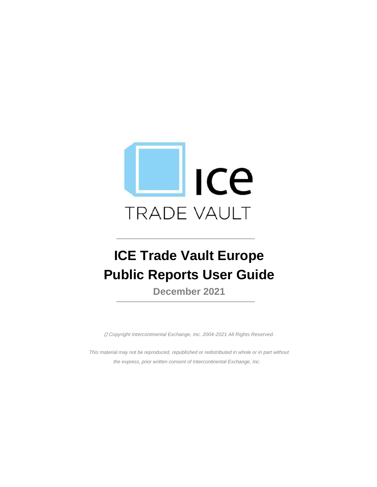

# **ICE Trade Vault Europe Public Reports User Guide**

**December 2021**

*Copyright Intercontinental Exchange, Inc. 2004-2021 All Rights Reserved.*

*This material may not be reproduced, republished or redistributed in whole or in part without the express, prior written consent of Intercontinental Exchange, Inc.*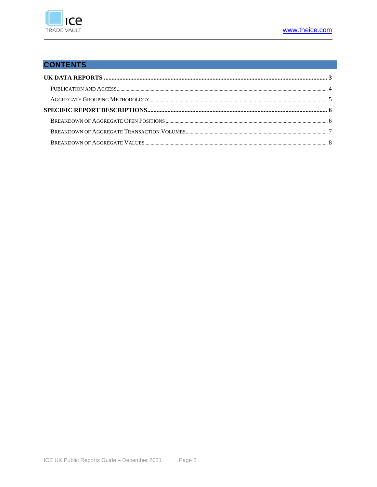

#### **CONTENTS**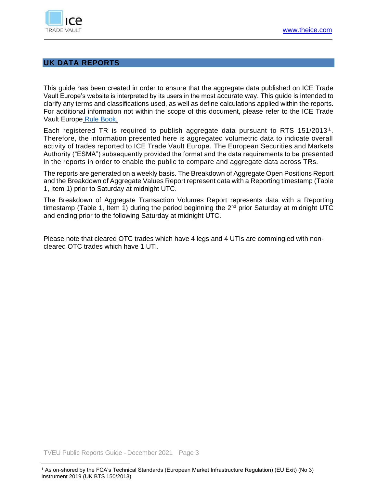

#### **UK DATA REPORTS**

This guide has been created in order to ensure that the aggregate data published on ICE Trade Vault Europe's website is interpreted by its users in the most accurate way. This guide is intended to clarify any terms and classifications used, as well as define calculations applied within the reports. For additional information not within the scope of this document, please refer to the ICE Trade Vault Europe [Rule Book.](https://www.theice.com/publicdocs/technology/TV_Rulebook.pdf)

Each registered TR is required to publish aggregate data pursuant to RTS 151/2013<sup>1</sup>. Therefore, the information presented here is aggregated volumetric data to indicate overall activity of trades reported to ICE Trade Vault Europe. The European Securities and Markets Authority ("ESMA") subsequently provided the format and the data requirements to be presented in the reports in order to enable the public to compare and aggregate data across TRs.

The reports are generated on a weekly basis. The Breakdown of Aggregate Open Positions Report and the Breakdown of Aggregate Values Report represent data with a Reporting timestamp (Table 1, Item 1) prior to Saturday at midnight UTC.

The Breakdown of Aggregate Transaction Volumes Report represents data with a Reporting timestamp (Table 1, Item 1) during the period beginning the  $2<sup>nd</sup>$  prior Saturday at midnight UTC and ending prior to the following Saturday at midnight UTC.

Please note that cleared OTC trades which have 4 legs and 4 UTIs are commingled with noncleared OTC trades which have 1 UTI.

TVEU Public Reports Guide – December 2021 Page 3

<sup>1</sup> As on-shored by the FCA's Technical Standards (European Market Infrastructure Regulation) (EU Exit) (No 3) Instrument 2019 (UK BTS 150/2013)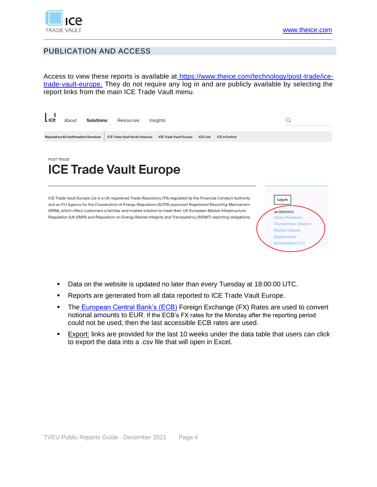

## PUBLICATION AND ACCESS

Access to view these reports is available at https://www.theice.com/technology/post-trade/icetrade-vault-europe. They do not require any log in and are publicly available by selecting the report links from the main ICE Trade Vault menu.



- Data on the website is updated no later than every Tuesday at 18:00:00 UTC.
- Reports are generated from all data reported to ICE Trade Vault Europe.
- The European Central Bank's (ECB) Foreign Exchange (FX) Rates are used to convert notional amounts to EUR. If the ECB's FX rates for the Monday after the reporting period could not be used, then the last accessible ECB rates are used.
- **Export:** links are provided for the last 10 weeks under the data table that users can click to export the data into a .csv file that will open in Excel.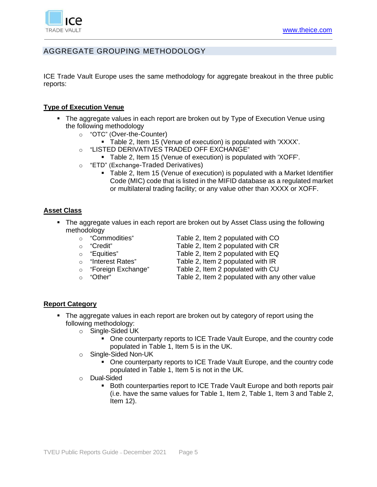

# AGGREGATE GROUPING METHODOLOGY

ICE Trade Vault Europe uses the same methodology for aggregate breakout in the three public reports:

#### **Type of Execution Venue**

- The aggregate values in each report are broken out by Type of Execution Venue using the following methodology
	- o "OTC" (Over-the-Counter)
		- Table 2, Item 15 (Venue of execution) is populated with 'XXXX'.
	- o "LISTED DERIVATIVES TRADED OFF EXCHANGE"
		- Table 2, Item 15 (Venue of execution) is populated with 'XOFF'.
	- o "ETD" (Exchange-Traded Derivatives)
		- Table 2, Item 15 (Venue of execution) is populated with a Market Identifier Code (MIC) code that is listed in the MIFID database as a regulated market or multilateral trading facility; or any value other than XXXX or XOFF.

#### **Asset Class**

- The aggregate values in each report are broken out by Asset Class using the following methodology
	-
	-
	-
	-
	-
	-
	- o "Commodities" Table 2, Item 2 populated with CO
	- o "Credit" Table 2, Item 2 populated with CR
	- o "Equities" Table 2, Item 2 populated with EQ
	- o "Interest Rates" Table 2, Item 2 populated with IR
	- o "Foreign Exchange" Table 2, Item 2 populated with CU
	- o "Other" Table 2, Item 2 populated with any other value

#### **Report Category**

- The aggregate values in each report are broken out by category of report using the following methodology:
	- o Single-Sided UK
		- One counterparty reports to ICE Trade Vault Europe, and the country code populated in Table 1, Item 5 is in the UK.
	- o Single-Sided Non-UK
		- One counterparty reports to ICE Trade Vault Europe, and the country code populated in Table 1, Item 5 is not in the UK.
	- o Dual-Sided
		- Both counterparties report to ICE Trade Vault Europe and both reports pair (i.e. have the same values for Table 1, Item 2, Table 1, Item 3 and Table 2, Item 12).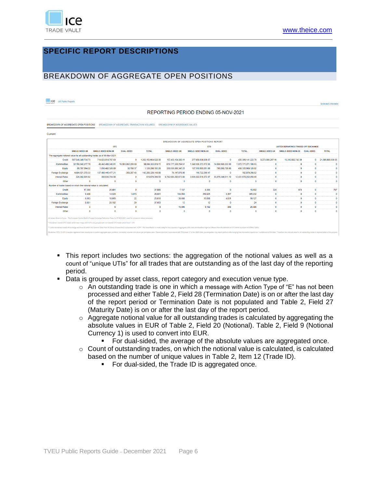

#### **SPECIFIC REPORT DESCRIPTIONS**

### BREAKDOWN OF AGGREGATE OPEN POSITIONS

#### **ICE** UK Public Reports

REPORTING PERIOD ENDING 05-NOV-2021

| BREAKDOWN OF AGGREGATE OPEN POSITIONS BREAKDOWN OF AGGREGATE TRANSACTION VOLUMES BREAKDOWN OF AGGREGATE VALUES |  |
|----------------------------------------------------------------------------------------------------------------|--|

|                       |                                                                   |                                                                                                                                                                                                                                                                         |                     |                    |                        | BREAKDOWN OF AGGREGATE OPEN POSITIONS REPORT |                     |                       |                  |                                        |            |                   |
|-----------------------|-------------------------------------------------------------------|-------------------------------------------------------------------------------------------------------------------------------------------------------------------------------------------------------------------------------------------------------------------------|---------------------|--------------------|------------------------|----------------------------------------------|---------------------|-----------------------|------------------|----------------------------------------|------------|-------------------|
|                       |                                                                   | <b>OTC</b>                                                                                                                                                                                                                                                              |                     |                    |                        | <b>ETD</b>                                   |                     |                       |                  | LISTED DERIVATIVES TRADED OFF EXCHANGE |            |                   |
|                       | <b>SINGLE-SIDED UK</b>                                            | SINGLE-SIDED NON-UK                                                                                                                                                                                                                                                     | <b>DUAL-SIDED</b>   | <b>TOTAL</b>       | <b>SINGLE-SIDED UK</b> | SINGLE-SIDED NON-UK                          | <b>DUAL-SIDED</b>   | <b>TOTAL</b>          | SINGLE-SIDED UK  | SINGLE-SIDED NON-UK DUAL-SIDED         |            | <b>TOTAL</b>      |
|                       |                                                                   | The aggregate notional value for all outstanding trades as of 05-Nov-2021:                                                                                                                                                                                              |                     |                    |                        |                                              |                     |                       |                  |                                        |            |                   |
| Credit                | 567.540.349.734.73                                                | 714.623.614.787.63                                                                                                                                                                                                                                                      | $\Omega$            | 282.163.964.522.36 | 157.453.104.383.11     | 277.856.036.839.67                           |                     | 435.309.141.222.78    | 8.273.003.297.16 | 13.312.882.742.39                      | $\Omega$   | 21,585,886,039,55 |
| Commodities           | 32.159.542.277.79                                                 | 49.442.488.340.81                                                                                                                                                                                                                                                       | 16.993.992.200.50   | 98,596,022,819.11  | 615.177.329.794.51     | 1,342,035,373,172.95                         | 14,958,568,222.08   | 1,972,171,271,189.53  | $\mathbf{0}$     | $\mathbf{0}$                           |            |                   |
| Equity                | 69.767.064.22                                                     | 1.050.482.328.69                                                                                                                                                                                                                                                        | 30,788.37           | 1.120.280.181.28   | 330.030.066.347.25     | 107.510.905.051.89                           | 795.008.728.88      | 438.335.980.128.02    | $\Omega$         | $\mathbf{0}$                           | $\Omega$   |                   |
| Foreign Exchange      | 4.804.521.379.33                                                  | 137.480.445.477.21                                                                                                                                                                                                                                                      | 359,287.43          | 142.285.326.143.98 | 76, 147, 976, 05       | 116.722.290.47                               |                     | 192,870,266.52        | $\circ$          | $\Omega$                               | $\Omega$   |                   |
| <b>Interest Rates</b> | 229.042.601.92                                                    | 389.836.704.58                                                                                                                                                                                                                                                          | $\Omega$            | 618.879.306.50     | 8.782.680.292.673.80   | 3.555.022.519.372.97                         | 93.976.390.011.19   | 12.431.679.202.058.00 | $\Omega$         | $\Omega$                               | $\Omega$   |                   |
| Other                 | $\theta$                                                          | $\Omega$                                                                                                                                                                                                                                                                | $\bullet$           | n                  | $\Omega$               | $\Omega$                                     | $\ddot{\mathbf{0}}$ | $\Omega$              | $\Omega$         | $\Omega$                               | $\Omega$   |                   |
|                       | Number of trades based on which the notional value is calculated: |                                                                                                                                                                                                                                                                         |                     |                    |                        |                                              |                     |                       |                  |                                        |            |                   |
| Credit                | 17.394                                                            | 20.491                                                                                                                                                                                                                                                                  | $\ddot{\mathbf{0}}$ | 37,885             | 7.137                  | 9.365                                        | $\bullet$           | 16.502                | 324              | 473                                    | $\Omega$   | 797               |
| Commodities           | 9.408                                                             | 14.320                                                                                                                                                                                                                                                                  | 3.073               | 26,801             | 104.950                | 256.925                                      | 3.357               | 365,232               | $\bullet$        | $\Omega$                               | $\Omega$   |                   |
| Equity                | 6.083                                                             | 18,905                                                                                                                                                                                                                                                                  | 22                  | 25,010             | 38,688                 | 15,808                                       | 4.631               | 59.127                | $\bullet$        | $\Omega$                               | $\Omega$   | $\Omega$          |
| Foreign Exchange      | 8.851                                                             | 28.182                                                                                                                                                                                                                                                                  | 20                  | 37.053             | 12                     | 12                                           | $\ddot{\mathbf{0}}$ | 24                    | $\bullet$        | $\Omega$                               | $\Omega$   |                   |
| <b>Interest Rates</b> | $\overline{\mathbf{3}}$                                           | 6                                                                                                                                                                                                                                                                       | $\Omega$            | ۰                  | 15,996                 | 9.182                                        | 308                 | 25.486                | $\Omega$         | $\Omega$                               | $\Omega$   |                   |
| Other                 | $\theta$                                                          | $\Omega$                                                                                                                                                                                                                                                                | $\bullet$           | n                  | $\Omega$               | $\theta$                                     | n                   | $\mathbf{a}$          | $\Omega$         | $\theta$                               | $\sqrt{2}$ |                   |
|                       |                                                                   | All values shown in Euros. The European Central Bank's Foreign Exchange Reference Rates for 05-NOV-2021 used for conversion where necessary.<br>* Disclaimer: cleared OTC trades which have 4 legs and 4 UTIs are grouped with non-cleared OTC trades which have 1 UTI. |                     |                    |                        |                                              |                     |                       |                  |                                        |            |                   |

- This report includes two sections: the aggregation of the notional values as well as a count of "unique UTIs" for all trades that are outstanding as of the last day of the reporting period.
- Data is grouped by asset class, report category and execution venue type.
	- $\circ$  An outstanding trade is one in which a message with Action Type of "E" has not been processed and either Table 2, Field 28 (Termination Date) is on or after the last day of the report period or Termination Date is not populated and Table 2, Field 27 (Maturity Date) is on or after the last day of the report period.
	- $\circ$  Aggregate notional value for all outstanding trades is calculated by aggregating the absolute values in EUR of Table 2, Field 20 (Notional). Table 2, Field 9 (Notional Currency 1) is used to convert into EUR.
		- For dual-sided, the average of the absolute values are aggregated once.
	- $\circ$  Count of outstanding trades, on which the notional value is calculated, is calculated based on the number of unique values in Table 2, Item 12 (Trade ID).
		- For dual-sided, the Trade ID is aggregated once.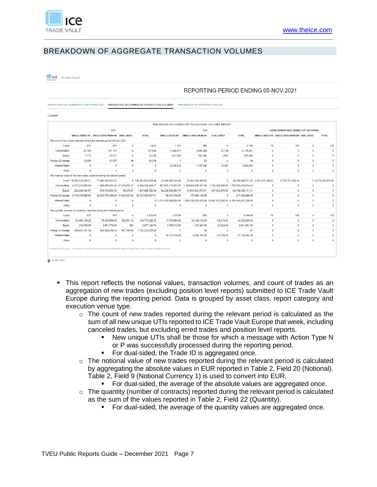

# BREAKDOWN OF AGGREGATE TRANSACTION VOLUMES

**ICE UK Public Reports** 

#### REPORTING PERIOD ENDING 05-NOV-2021

|                         |                                   |                                                                           |              |                                                   |                   | BREAKDOWN OF AGGREGATE TRANSACTION VOLUMES REPORT                                  |                   |                                                         |              |                                                |              |                    |
|-------------------------|-----------------------------------|---------------------------------------------------------------------------|--------------|---------------------------------------------------|-------------------|------------------------------------------------------------------------------------|-------------------|---------------------------------------------------------|--------------|------------------------------------------------|--------------|--------------------|
|                         |                                   | <b>OTC</b>                                                                |              |                                                   |                   | <b>ETD</b>                                                                         |                   |                                                         |              | LISTED DERIVATIVES TRADED OFF EXCHANGE         |              |                    |
|                         |                                   | SINGLE-SIDED UK SINGLE-SIDED NON-UK DUAL-SIDED                            |              | <b>TOTAL</b>                                      |                   | SINGLE-SIDED UK SINGLE-SIDED NON-UK                                                | <b>DUAL-SIDED</b> | <b>TOTAL</b>                                            |              | SINGLE-SIDED UK SINGLE-SIDED NON-UK DUAL-SIDED |              | <b>TOTAL</b>       |
|                         |                                   | The sum of new trades reported during the relevant period 05-Nov-2021:    |              |                                                   |                   |                                                                                    |                   |                                                         |              |                                                |              |                    |
| Credit                  | 972                               | 951                                                                       | $\mathbf{0}$ | 1.923                                             | 1.175             | 965                                                                                | $\bullet$         | 2.140                                                   | 76           | 100                                            | $\mathbf{0}$ | 176                |
| Commodities             | 20,189                            | 167.791                                                                   | 14           | 187,994                                           | 3,240,573         | 5,456,084                                                                          | 29.794            | 8.726.451                                               | $\mathbf{0}$ | $\mathbf{0}$                                   | $\Omega$     |                    |
| Equity                  | 7.713                             | 22.517                                                                    | 8            | 30.238                                            | 421.835           | 162.082                                                                            | 3,926             | 587.843                                                 | $\mathbf{0}$ | $\mathbf{0}$                                   | $\bullet$    |                    |
| <b>Foreign Exchange</b> | 12.656                            | 51.527                                                                    | 36           | 64.219                                            | $\overline{7}$    | 23                                                                                 | $\bf{0}$          | 30                                                      | $\mathbf{0}$ | $\bf{0}$                                       | $\mathbf{0}$ |                    |
| <b>Interest Rates</b>   | $\mathbf 0$                       | $\Omega$                                                                  | $\mathbf{0}$ | $\bf{0}$                                          | 2,412,612         | 1.155.048                                                                          | 16,393            | 3.584.053                                               | $\mathbf{0}$ | $\bf{0}$                                       | $\mathbf{0}$ |                    |
| Other                   | $\mathbf{0}$                      | $\Omega$                                                                  | $\Omega$     | $\mathbf{0}$                                      | $\mathbf{0}$      | $\mathbf{0}$                                                                       | $\bf{0}$          | $\mathbf{0}$                                            | $\mathbf{0}$ | $\Omega$                                       | $\mathbf{0}$ |                    |
|                         |                                   | The notional value of the new trades reported during the relevant period: |              |                                                   |                   |                                                                                    |                   |                                                         |              |                                                |              |                    |
|                         | Credit 78.856.532.606.21          | 71.445.363.023.23                                                         |              | 0 150.301.895.629.44                              | 23.406.585.331.40 | 22.892.264.389.65                                                                  | 0                 | 46.298.849.721.05 2.053.575.346.82                      |              | 2.720.761.309.14                               |              | 0 4.774.336.655.96 |
|                         | Commodities 4.235.233.495.94      | 1.801.696.065.42 27.378.893.21                                            |              | 6.064.308.454.57                                  |                   | 667,855,173,922.01 1,104,664,936,251.68 7,742,306,660.86 1,780,262,416,834.55      |                   |                                                         | $\mathbf{0}$ | $\bf{0}$                                       | $\Omega$     |                    |
| Equity                  | 229.206.494.97                    | 978.703.954.45                                                            | 89.278.97    | 1.207.999.728.39                                  | 92.229.036.964.75 |                                                                                    |                   | 31,915,623,870.01   647,835,276.55   124,792,496,111.31 | $\mathbf{0}$ | $\bf{0}$                                       | $\Omega$     |                    |
|                         | Foreign Exchange 9,746,376,695.80 |                                                                           |              | 22.942.703.458.09 31.010.353.92 32.720.090.507.81 | 59,514,749.98     | 157,969,146.98                                                                     | $\bf{0}$          | 217.483.896.96                                          | $\bf{0}$     | $\bf{0}$                                       | $\mathbf{0}$ |                    |
| <b>Interest Rates</b>   | $\bf{0}$                          | $\mathbf 0$                                                               | $\mathbf{0}$ |                                                   |                   | 0 4.215.520.508.603.40 1.959.238.626.630.49 24.681.672.005.55 6.199.440.807.239.44 |                   |                                                         | $\mathbf{0}$ | $\bf{0}$                                       | $\mathbf{0}$ |                    |
| Other                   | $\mathbf 0$                       | $\mathbf{0}$                                                              | $\mathbf{0}$ | $\mathbf{0}$                                      | $\mathbf{0}$      | $\mathbf{0}$                                                                       | $\mathbf{0}$      | $\mathbf{0}$                                            | $\mathbf{0}$ | $\Omega$                                       | $\mathbf{0}$ |                    |
|                         |                                   | The quantity (number of contracts) reported during the relevant period:   |              |                                                   |                   |                                                                                    |                   |                                                         |              |                                                |              |                    |
| Credit                  | 972                               | 951                                                                       | $\mathbf{0}$ | 1.923.00                                          | 1.175.00          | 965                                                                                | $\bullet$         | 2.140.00                                                | 76           | 100                                            | $\bullet$    | 176                |
| Commodities             | 64.059.108.22                     | 75.330.596.93                                                             | 383.521.18   | 139.773.226.33                                    | 11.070.894.00     | 23.148.132.00                                                                      | 115.213.00        | 34.334.239.00                                           | $\bullet$    | $\bf{0}$                                       | $\mathbf{0}$ |                    |
| Equity                  | 334,700.90                        | 2,501,774.84                                                              | 653          | 2,837,128.74                                      | 1,790,313.00      | 1,127,284.00                                                                       | 24,024.00         | 2,941,621.00                                            | $\mathbf{0}$ | $\mathbf 0$                                    | $\mathbf{0}$ |                    |
| <b>Foreign Exchange</b> | 209.663.181.00                    | 944.590.639.20                                                            | 967.000.00   | 1.155.220.820.20                                  | $\overline{7}$    | 40                                                                                 | $\bullet$         | 47                                                      | $\mathbf{0}$ | $\mathbf 0$                                    | $\mathbf{0}$ |                    |
| <b>Interest Rates</b>   | $\mathbf 0$                       | $\mathbf 0$                                                               | $\mathbf{0}$ | 0                                                 | 19.137.419.00     | 8,458,705.00                                                                       | 134.378.00        | 27.730.502.00                                           | $\bf{0}$     | $\bf{0}$                                       | $\mathbf{0}$ |                    |
| Other                   | $\bf{0}$                          | $\Omega$                                                                  | $\bf{0}$     | $\Omega$                                          | $\mathbf{0}$      | $\Omega$                                                                           | $\bf{0}$          | $\Omega$                                                | $\Omega$     | $\Omega$                                       | $\Omega$     |                    |

- This report reflects the notional values, transaction volumes, and count of trades as an aggregation of new trades (excluding position level reports) submitted to ICE Trade Vault Europe during the reporting period. Data is grouped by asset class, report category and execution venue type.
	- o The count of new trades reported during the relevant period is calculated as the sum of all new unique UTIs reported to ICE Trade Vault Europe that week, including canceled trades, but excluding erred trades and position level reports.
		- New unique UTIs shall be those for which a message with Action Type N or P was successfully processed during the reporting period.
		- For dual-sided, the Trade ID is aggregated once.
	- $\circ$  The notional value of new trades reported during the relevant period is calculated by aggregating the absolute values in EUR reported in Table 2, Field 20 (Notional). Table 2, Field 9 (Notional Currency 1) is used to convert into EUR.
		- For dual-sided, the average of the absolute values are aggregated once.
	- $\circ$  The quantity (number of contracts) reported during the relevant period is calculated as the sum of the values reported in Table 2, Field 22 (Quantity).
		- For dual-sided, the average of the quantity values are aggregated once.